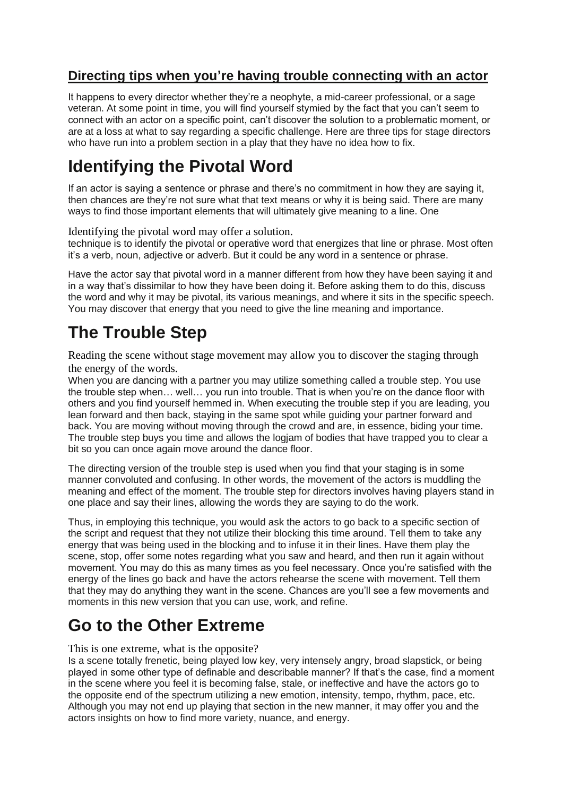### **Directing tips when you're having trouble connecting with an actor**

It happens to every director whether they're a neophyte, a mid-career professional, or a sage veteran. At some point in time, you will find yourself stymied by the fact that you can't seem to connect with an actor on a specific point, can't discover the solution to a problematic moment, or are at a loss at what to say regarding a specific challenge. Here are three tips for stage directors who have run into a problem section in a play that they have no idea how to fix.

# **Identifying the Pivotal Word**

If an actor is saying a sentence or phrase and there's no commitment in how they are saying it, then chances are they're not sure what that text means or why it is being said. There are many ways to find those important elements that will ultimately give meaning to a line. One

Identifying the pivotal word may offer a solution.

technique is to identify the pivotal or operative word that energizes that line or phrase. Most often it's a verb, noun, adjective or adverb. But it could be any word in a sentence or phrase.

Have the actor say that pivotal word in a manner different from how they have been saying it and in a way that's dissimilar to how they have been doing it. Before asking them to do this, discuss the word and why it may be pivotal, its various meanings, and where it sits in the specific speech. You may discover that energy that you need to give the line meaning and importance.

# **The Trouble Step**

Reading the scene without stage movement may allow you to discover the staging through the energy of the words.

When you are dancing with a partner you may utilize something called a trouble step. You use the trouble step when… well… you run into trouble. That is when you're on the dance floor with others and you find yourself hemmed in. When executing the trouble step if you are leading, you lean forward and then back, staying in the same spot while guiding your partner forward and back. You are moving without moving through the crowd and are, in essence, biding your time. The trouble step buys you time and allows the logiam of bodies that have trapped you to clear a bit so you can once again move around the dance floor.

The directing version of the trouble step is used when you find that your staging is in some manner convoluted and confusing. In other words, the movement of the actors is muddling the meaning and effect of the moment. The trouble step for directors involves having players stand in one place and say their lines, allowing the words they are saying to do the work.

Thus, in employing this technique, you would ask the actors to go back to a specific section of the script and request that they not utilize their blocking this time around. Tell them to take any energy that was being used in the blocking and to infuse it in their lines. Have them play the scene, stop, offer some notes regarding what you saw and heard, and then run it again without movement. You may do this as many times as you feel necessary. Once you're satisfied with the energy of the lines go back and have the actors rehearse the scene with movement. Tell them that they may do anything they want in the scene. Chances are you'll see a few movements and moments in this new version that you can use, work, and refine.

## **Go to the Other Extreme**

#### This is one extreme, what is the opposite?

Is a scene totally frenetic, being played low key, very intensely angry, broad slapstick, or being played in some other type of definable and describable manner? If that's the case, find a moment in the scene where you feel it is becoming false, stale, or ineffective and have the actors go to the opposite end of the spectrum utilizing a new emotion, intensity, tempo, rhythm, pace, etc. Although you may not end up playing that section in the new manner, it may offer you and the actors insights on how to find more variety, nuance, and energy.